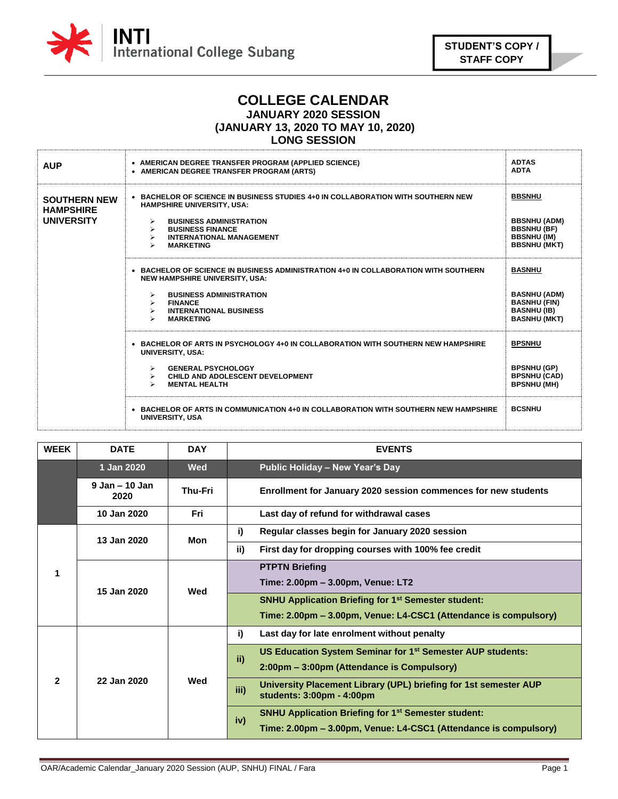

## **COLLEGE CALENDAR**

# **JANUARY 2020 SESSION**

**(JANUARY 13, 2020 TO MAY 10, 2020)**

#### **LONG SESSION**

| <b>AUP</b>                                                   | • AMERICAN DEGREE TRANSFER PROGRAM (APPLIED SCIENCE)<br>• AMERICAN DEGREE TRANSFER PROGRAM (ARTS)                                                                                                                                                                                                                                         | <b>ADTAS</b><br><b>ADTA</b>                                                                              |
|--------------------------------------------------------------|-------------------------------------------------------------------------------------------------------------------------------------------------------------------------------------------------------------------------------------------------------------------------------------------------------------------------------------------|----------------------------------------------------------------------------------------------------------|
| <b>SOUTHERN NEW</b><br><b>HAMPSHIRE</b><br><b>UNIVERSITY</b> | • BACHELOR OF SCIENCE IN BUSINESS STUDIES 4+0 IN COLLABORATION WITH SOUTHERN NEW<br><b>HAMPSHIRE UNIVERSITY, USA:</b><br><b>BUSINESS ADMINISTRATION</b><br><b>BUSINESS FINANCE</b><br>$\blacktriangleright$<br><b>INTERNATIONAL MANAGEMENT</b><br><b>MARKETING</b><br>$\blacktriangleright$                                               | <b>BBSNHU</b><br><b>BBSNHU (ADM)</b><br><b>BBSNHU (BF)</b><br><b>BBSNHU (IM)</b><br><b>BBSNHU (MKT)</b>  |
|                                                              | • BACHELOR OF SCIENCE IN BUSINESS ADMINISTRATION 4+0 IN COLLABORATION WITH SOUTHERN<br><b>NEW HAMPSHIRE UNIVERSITY, USA:</b><br><b>BUSINESS ADMINISTRATION</b><br>$\blacktriangleright$<br><b>FINANCE</b><br>$\blacktriangleright$<br><b>INTERNATIONAL BUSINESS</b><br>$\blacktriangleright$<br><b>MARKETING</b><br>$\blacktriangleright$ | <b>BASNHU</b><br><b>BASNHU (ADM)</b><br><b>BASNHU (FIN)</b><br><b>BASNHU (IB)</b><br><b>BASNHU (MKT)</b> |
|                                                              | • BACHELOR OF ARTS IN PSYCHOLOGY 4+0 IN COLLABORATION WITH SOUTHERN NEW HAMPSHIRE<br><b>UNIVERSITY, USA:</b><br><b>GENERAL PSYCHOLOGY</b><br>$\blacktriangleright$<br>CHILD AND ADOLESCENT DEVELOPMENT<br>$\triangleright$<br><b>MENTAL HEALTH</b>                                                                                        | <b>BPSNHU</b><br><b>BPSNHU (GP)</b><br><b>BPSNHU (CAD)</b><br><b>BPSNHU (MH)</b>                         |
|                                                              | • BACHELOR OF ARTS IN COMMUNICATION 4+0 IN COLLABORATION WITH SOUTHERN NEW HAMPSHIRE<br><b>UNIVERSITY, USA</b>                                                                                                                                                                                                                            | <b>BCSNHU</b>                                                                                            |

| <b>WEEK</b> | <b>DATE</b>                | <b>DAY</b>     | <b>EVENTS</b>                                                                                         |  |                                                                               |
|-------------|----------------------------|----------------|-------------------------------------------------------------------------------------------------------|--|-------------------------------------------------------------------------------|
|             | 1 Jan 2020                 | <b>Wed</b>     | <b>Public Holiday - New Year's Day</b>                                                                |  |                                                                               |
|             | $9$ Jan $-$ 10 Jan<br>2020 | <b>Thu-Fri</b> | Enrollment for January 2020 session commences for new students                                        |  |                                                                               |
|             | 10 Jan 2020                | Fri            | Last day of refund for withdrawal cases                                                               |  |                                                                               |
| 1           | 13 Jan 2020                | Mon            | Regular classes begin for January 2020 session<br>i)                                                  |  |                                                                               |
|             |                            |                | ii)<br>First day for dropping courses with 100% fee credit                                            |  |                                                                               |
|             | 15 Jan 2020                | Wed            | <b>PTPTN Briefing</b>                                                                                 |  |                                                                               |
|             |                            |                | Time: 2.00pm - 3.00pm, Venue: LT2                                                                     |  |                                                                               |
|             |                            |                | <b>SNHU Application Briefing for 1st Semester student:</b>                                            |  |                                                                               |
|             |                            |                | Time: 2.00pm – 3.00pm, Venue: L4-CSC1 (Attendance is compulsory)                                      |  |                                                                               |
| 2           | 22 Jan 2020                |                | Last day for late enrolment without penalty<br>i)                                                     |  |                                                                               |
|             |                            |                |                                                                                                       |  | US Education System Seminar for 1 <sup>st</sup> Semester AUP students:<br>ii) |
|             |                            | Wed            | 2:00pm - 3:00pm (Attendance is Compulsory)                                                            |  |                                                                               |
|             |                            |                | University Placement Library (UPL) briefing for 1st semester AUP<br>iii)<br>students: 3:00pm - 4:00pm |  |                                                                               |
|             |                            |                | <b>SNHU Application Briefing for 1st Semester student:</b><br>iv)                                     |  |                                                                               |
|             |                            |                | Time: 2.00pm – 3.00pm, Venue: L4-CSC1 (Attendance is compulsory)                                      |  |                                                                               |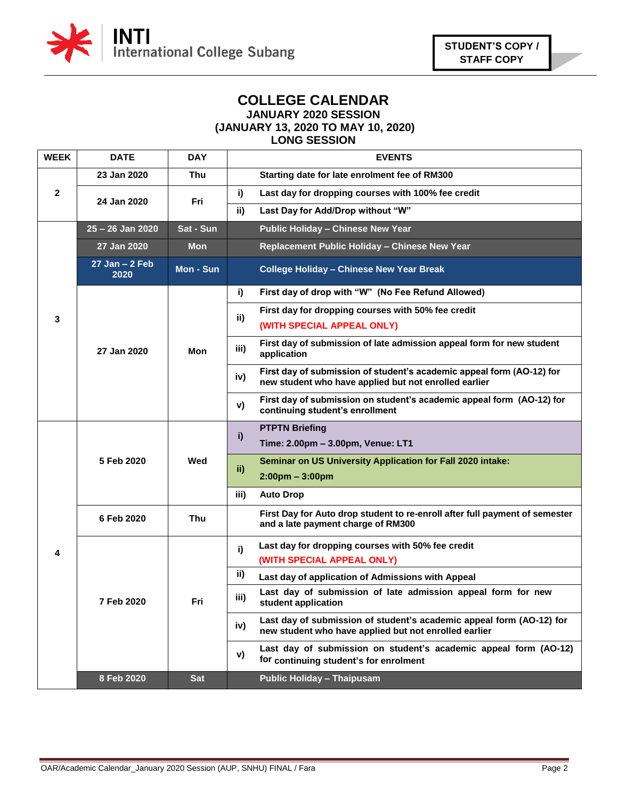

### **COLLEGE CALENDAR JANUARY 2020 SESSION (JANUARY 13, 2020 TO MAY 10, 2020)**

#### **LONG SESSION**

| <b>WEEK</b>  | <b>DATE</b>                | <b>DAY</b> | <b>EVENTS</b>                                                                                                                         |                                                                                                                                      |
|--------------|----------------------------|------------|---------------------------------------------------------------------------------------------------------------------------------------|--------------------------------------------------------------------------------------------------------------------------------------|
| $\mathbf{2}$ | 23 Jan 2020                | Thu        | Starting date for late enrolment fee of RM300                                                                                         |                                                                                                                                      |
|              | 24 Jan 2020                | Fri        | i)<br>Last day for dropping courses with 100% fee credit                                                                              |                                                                                                                                      |
|              |                            |            |                                                                                                                                       | Last Day for Add/Drop without "W"<br>ii)                                                                                             |
|              | 25 - 26 Jan 2020           | Sat - Sun  | <b>Public Holiday - Chinese New Year</b>                                                                                              |                                                                                                                                      |
|              | 27 Jan 2020                | Mon        | Replacement Public Holiday - Chinese New Year                                                                                         |                                                                                                                                      |
|              | $27$ Jan - $2$ Feb<br>2020 | Mon - Sun  | <b>College Holiday - Chinese New Year Break</b>                                                                                       |                                                                                                                                      |
|              | 27 Jan 2020                | Mon        | First day of drop with "W" (No Fee Refund Allowed)<br>i)                                                                              |                                                                                                                                      |
| 3            |                            |            | First day for dropping courses with 50% fee credit<br>ii)<br>(WITH SPECIAL APPEAL ONLY)                                               |                                                                                                                                      |
|              |                            |            | First day of submission of late admission appeal form for new student<br>iii)<br>application                                          |                                                                                                                                      |
|              |                            |            | First day of submission of student's academic appeal form (AO-12) for<br>iv)<br>new student who have applied but not enrolled earlier |                                                                                                                                      |
|              |                            |            |                                                                                                                                       | First day of submission on student's academic appeal form (AO-12) for<br>V)<br>continuing student's enrollment                       |
| 4            | 5 Feb 2020                 | Wed        | <b>PTPTN Briefing</b><br>i)<br>Time: 2.00pm - 3.00pm, Venue: LT1                                                                      |                                                                                                                                      |
|              |                            |            | <b>Seminar on US University Application for Fall 2020 intake:</b><br>ii)<br>$2:00 \text{pm} - 3:00 \text{pm}$                         |                                                                                                                                      |
|              |                            |            | iii)<br><b>Auto Drop</b>                                                                                                              |                                                                                                                                      |
|              | 6 Feb 2020                 | Thu        | First Day for Auto drop student to re-enroll after full payment of semester<br>and a late payment charge of RM300                     |                                                                                                                                      |
|              | 7 Feb 2020                 | Fri        | Last day for dropping courses with 50% fee credit<br>i)<br>(WITH SPECIAL APPEAL ONLY)                                                 |                                                                                                                                      |
|              |                            |            | ii)<br>Last day of application of Admissions with Appeal                                                                              |                                                                                                                                      |
|              |                            |            |                                                                                                                                       | Last day of submission of late admission appeal form for new<br>iii)<br>student application                                          |
|              |                            |            |                                                                                                                                       | Last day of submission of student's academic appeal form (AO-12) for<br>iv)<br>new student who have applied but not enrolled earlier |
|              |                            |            |                                                                                                                                       | Last day of submission on student's academic appeal form (AO-12)<br>V)<br>for continuing student's for enrolment                     |
|              | 8 Feb 2020                 | <b>Sat</b> | <b>Public Holiday - Thaipusam</b>                                                                                                     |                                                                                                                                      |